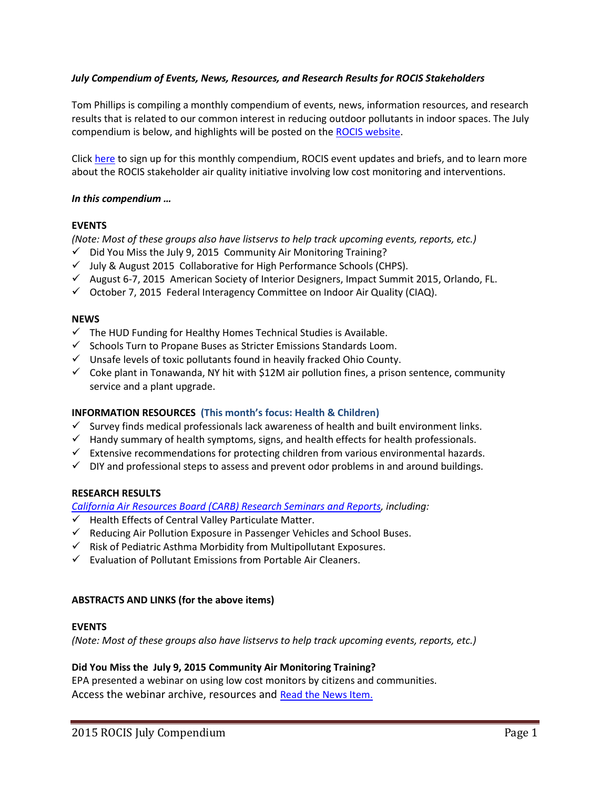## *July Compendium of Events, News, Resources, and Research Results for ROCIS Stakeholders*

Tom Phillips is compiling a monthly compendium of events, news, information resources, and research results that is related to our common interest in reducing outdoor pollutants in indoor spaces. The July compendium is below, and highlights will be posted on the [ROCIS website.](http://rocis.org/)

Click [here](http://www.rocis.org/rocis-sign) to sign up for this monthly compendium, ROCIS event updates and briefs, and to learn more about the ROCIS stakeholder air quality initiative involving low cost monitoring and interventions.

## *In this compendium …*

## **EVENTS**

*(Note: Most of these groups also have listservs to help track upcoming events, reports, etc.)*

- $\checkmark$  Did You Miss the July 9, 2015 Community Air Monitoring Training?
- $\checkmark$  July & August 2015 Collaborative for High Performance Schools (CHPS).
- $\checkmark$  August 6-7, 2015 American Society of Interior Designers, Impact Summit 2015, Orlando, FL.
- $\checkmark$  October 7, 2015 Federal Interagency Committee on Indoor Air Quality (CIAQ).

## **NEWS**

- $\checkmark$  The HUD Funding for Healthy Homes Technical Studies is Available.
- $\checkmark$  Schools Turn to Propane Buses as Stricter Emissions Standards Loom.
- $\checkmark$  Unsafe levels of toxic pollutants found in heavily fracked Ohio County.
- $\checkmark$  Coke plant in Tonawanda, NY hit with \$12M air pollution fines, a prison sentence, community service and a plant upgrade.

## **INFORMATION RESOURCES (This month's focus: Health & Children)**

- $\checkmark$  Survey finds medical professionals lack awareness of health and built environment links.
- $\checkmark$  Handy summary of health symptoms, signs, and health effects for health professionals.
- $\checkmark$  Extensive recommendations for protecting children from various environmental hazards.
- $\checkmark$  DIY and professional steps to assess and prevent odor problems in and around buildings.

## **RESEARCH RESULTS**

*[California Air Resources Board \(CARB\) Research Seminars and Reports,](http://www.arb.ca.gov/research/seminars/seminars.php?searchterm=Public+Health&searchtype=category&post=search&format=list) including:*

- $\checkmark$  Health Effects of Central Valley Particulate Matter.
- $\checkmark$  Reducing Air Pollution Exposure in Passenger Vehicles and School Buses.
- $\checkmark$  Risk of Pediatric Asthma Morbidity from Multipollutant Exposures.
- $\checkmark$  Evaluation of Pollutant Emissions from Portable Air Cleaners.

# **ABSTRACTS AND LINKS (for the above items)**

## **EVENTS**

*(Note: Most of these groups also have listservs to help track upcoming events, reports, etc.)*

## **Did You Miss the July 9, 2015 Community Air Monitoring Training?**

EPA presented a webinar on using low cost monitors by citizens and communities. Access the webinar archive, resources and [Read the News Item.](http://www.epa.gov/heasd/airsensortoolbox/)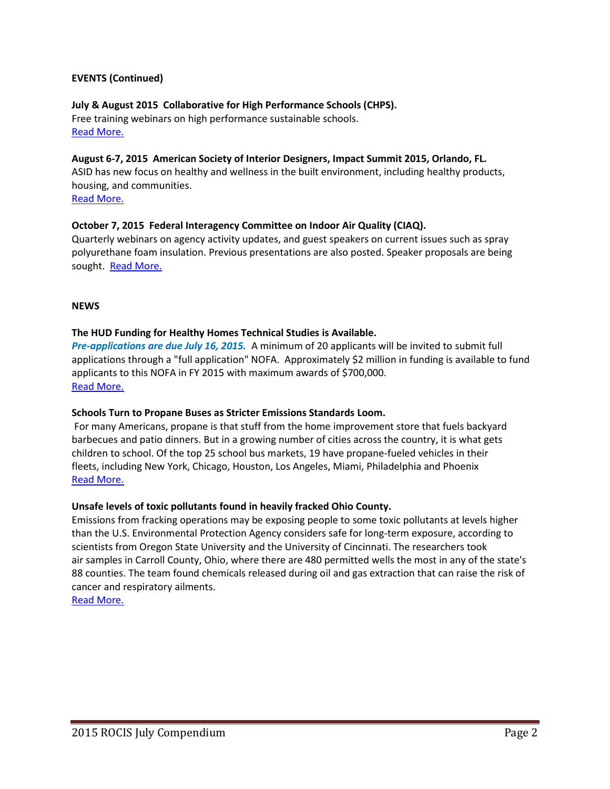## **EVENTS (Continued)**

## **July & August 2015 Collaborative for High Performance Schools (CHPS).**

Free training webinars on high performance sustainable schools. [Read More.](http://www.chps.net/dev/Drupal/calendar/2015-07)

#### **August 6-7, 2015 American Society of Interior Designers, Impact Summit 2015, Orlando, FL.**

ASID has new focus on healthy and wellness in the built environment, including healthy products, housing, and communities.

# [Read More.](https://www.asid.org/event/impact-summit#.VYxI9k3JDq4)

## **October 7, 2015 Federal Interagency Committee on Indoor Air Quality (CIAQ).**

Quarterly webinars on agency activity updates, and guest speakers on current issues such as spray polyurethane foam insulation. Previous presentations are also posted. Speaker proposals are being sought. [Read More.](http://www.epa.gov/iaq/ciaq)

## **NEWS**

## **The HUD Funding for Healthy Homes Technical Studies is Available.**

*Pre-applications are due July 16, 2015.* A minimum of 20 applicants will be invited to submit full applications through a "full application" NOFA. Approximately \$2 million in funding is available to fund applicants to this NOFA in FY 2015 with maximum awards of \$700,000. [Read More.](http://cirrus.mail-list.com/healthyhomesnet/27364902.html)

## **Schools Turn to Propane Buses as Stricter Emissions Standards Loom.**

For many Americans, propane is that stuff from the home improvement store that fuels backyard barbecues and patio dinners. But in a growing number of cities across the country, it is what gets children to school. Of the top 25 school bus markets, 19 have propane-fueled vehicles in their fleets, including New York, Chicago, Houston, Los Angeles, Miami, Philadelphia and Phoenix [Read More.](http://www.nytimes.com/2015/05/22/automobiles/wheels/schools-turn-to-propane-buses-as-stricter-emissions-standards-loom.html?ref=energy-environment)

## **Unsafe levels of toxic pollutants found in heavily fracked Ohio County.**

Emissions from fracking operations may be exposing people to some toxic pollutants at levels higher than the U.S. Environmental Protection Agency considers safe for long-term exposure, according to scientists from Oregon State University and the University of Cincinnati. The researchers took air samples in Carroll County, Ohio, where there are 480 permitted wells the most in any of the state's 88 counties. The team found chemicals released during oil and gas extraction that can raise the risk of cancer and respiratory ailments.

[Read More.](http://www.latimes.com/nation/sns-tns-bc-env-fracking-pollutants-20150524-story.html#page=1)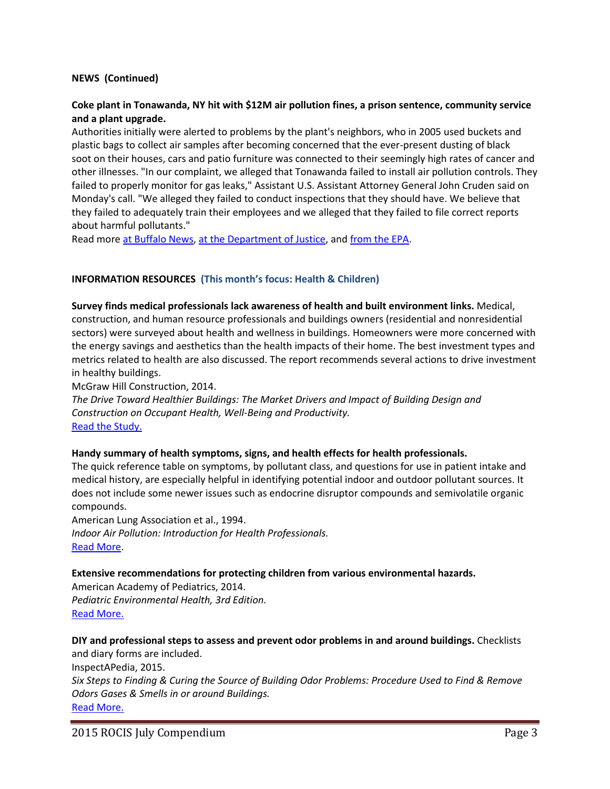## **NEWS (Continued)**

## **Coke plant in Tonawanda, NY hit with \$12M air pollution fines, a prison sentence, community service and a plant upgrade.**

Authorities initially were alerted to problems by the plant's neighbors, who in 2005 used buckets and plastic bags to collect air samples after becoming concerned that the ever-present dusting of black soot on their houses, cars and patio furniture was connected to their seemingly high rates of cancer and other illnesses. "In our complaint, we alleged that Tonawanda failed to install air pollution controls. They failed to properly monitor for gas leaks," Assistant U.S. Assistant Attorney General John Cruden said on Monday's call. "We alleged they failed to conduct inspections that they should have. We believe that they failed to adequately train their employees and we alleged that they failed to file correct reports about harmful pollutants."

Read more [at Buffalo News,](http://www.buffalonews.com/city-region/federal-court/tonawanda-coke-agrees-to-pay-penalties-upgrade-its-plant-20150511) [at the Department of Justice,](http://www.justice.gov/opa/pr/tonawanda-coke-pay-12-million-civil-penalties-facility-improvements-and-environmental) an[d from the EPA.](http://yosemite.epa.gov/opa/admpress.nsf/0/569173CE49453C0685257E420058988E)

## **INFORMATION RESOURCES (This month's focus: Health & Children)**

**Survey finds medical professionals lack awareness of health and built environment links.** Medical, construction, and human resource professionals and buildings owners (residential and nonresidential sectors) were surveyed about health and wellness in buildings. Homeowners were more concerned with the energy savings and aesthetics than the health impacts of their home. The best investment types and metrics related to health are also discussed. The report recommends several actions to drive investment in healthy buildings.

McGraw Hill Construction, 2014.

*The Drive Toward Healthier Buildings: The Market Drivers and Impact of Building Design and Construction on Occupant Health, Well-Being and Productivity.*  [Read the Study.](https://www.asid.org/healthybuildingdesign#.VZFNtKZ9TlU)

#### **Handy summary of health symptoms, signs, and health effects for health professionals.**

The quick reference table on symptoms, by pollutant class, and questions for use in patient intake and medical history, are especially helpful in identifying potential indoor and outdoor pollutant sources. It does not include some newer issues such as endocrine disruptor compounds and semivolatile organic compounds.

American Lung Association et al., 1994. *Indoor Air Pollution: Introduction for Health Professionals.* [Read More.](http://www.epa.gov/iaq/pubs/index.html#health%20professionals%20guide)

#### **Extensive recommendations for protecting children from various environmental hazards.**

American Academy of Pediatrics, 2014. *Pediatric Environmental Health, 3rd Edition.* [Read More.](https://www.aap.org/en-us/about-the-aap/Committees-Councils-Sections/Council-on-Environmental-Health/Pages/Pediatric-Environmental-Health-Third-Edition.aspx)

**DIY and professional steps to assess and prevent odor problems in and around buildings.** Checklists and diary forms are included.

InspectAPedia, 2015. *Six Steps to Finding & Curing the Source of Building Odor Problems: Procedure Used to Find & Remove Odors Gases & Smells in or around Buildings.* [Read More.](http://inspectapedia.com/odor_diagnosis/Odor_Diagnosis_Steps.php)